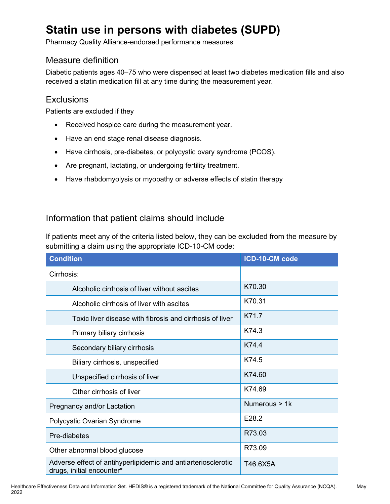# **Statin use in persons with diabetes (SUPD)**

Pharmacy Quality Alliance-endorsed performance measures

## Measure definition

Diabetic patients ages 40–75 who were dispensed at least two diabetes medication fills and also received a statin medication fill at any time during the measurement year.

## **Exclusions**

Patients are excluded if they

- Received hospice care during the measurement year.
- Have an end stage renal disease diagnosis.
- Have cirrhosis, pre-diabetes, or polycystic ovary syndrome (PCOS).
- Are pregnant, lactating, or undergoing fertility treatment.
- Have rhabdomyolysis or myopathy or adverse effects of statin therapy

## Information that patient claims should include

If patients meet any of the criteria listed below, they can be excluded from the measure by submitting a claim using the appropriate ICD-10-CM code:

| <b>Condition</b>                                                                           | ICD-10-CM code |
|--------------------------------------------------------------------------------------------|----------------|
| Cirrhosis:                                                                                 |                |
| Alcoholic cirrhosis of liver without ascites                                               | K70.30         |
| Alcoholic cirrhosis of liver with ascites                                                  | K70.31         |
| Toxic liver disease with fibrosis and cirrhosis of liver                                   | K71.7          |
| Primary biliary cirrhosis                                                                  | K74.3          |
| Secondary biliary cirrhosis                                                                | K744           |
| Biliary cirrhosis, unspecified                                                             | K74.5          |
| Unspecified cirrhosis of liver                                                             | K74.60         |
| Other cirrhosis of liver                                                                   | K74.69         |
| Pregnancy and/or Lactation                                                                 | Numerous > 1k  |
| Polycystic Ovarian Syndrome                                                                | E28.2          |
| Pre-diabetes                                                                               | R73.03         |
| Other abnormal blood glucose                                                               | R73.09         |
| Adverse effect of antihyperlipidemic and antiarteriosclerotic<br>drugs, initial encounter* | T46.6X5A       |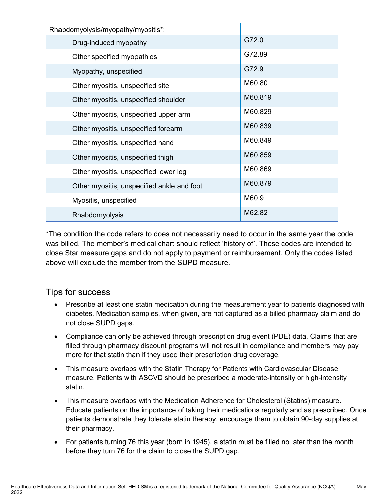| Rhabdomyolysis/myopathy/myositis*:         |         |
|--------------------------------------------|---------|
| Drug-induced myopathy                      | G72.0   |
| Other specified myopathies                 | G72.89  |
| Myopathy, unspecified                      | G72.9   |
| Other myositis, unspecified site           | M60.80  |
| Other myositis, unspecified shoulder       | M60.819 |
| Other myositis, unspecified upper arm      | M60.829 |
| Other myositis, unspecified forearm        | M60.839 |
| Other myositis, unspecified hand           | M60.849 |
| Other myositis, unspecified thigh          | M60.859 |
| Other myositis, unspecified lower leg      | M60.869 |
| Other myositis, unspecified ankle and foot | M60.879 |
| Myositis, unspecified                      | M60.9   |
| Rhabdomyolysis                             | M62.82  |

\*The condition the code refers to does not necessarily need to occur in the same year the code was billed. The member's medical chart should reflect 'history of'. These codes are intended to close Star measure gaps and do not apply to payment or reimbursement. Only the codes listed above will exclude the member from the SUPD measure.

## Tips for success

- Prescribe at least one statin medication during the measurement year to patients diagnosed with diabetes. Medication samples, when given, are not captured as a billed pharmacy claim and do not close SUPD gaps.
- Compliance can only be achieved through prescription drug event (PDE) data. Claims that are filled through pharmacy discount programs will not result in compliance and members may pay more for that statin than if they used their prescription drug coverage.
- This measure overlaps with the Statin Therapy for Patients with Cardiovascular Disease measure. Patients with ASCVD should be prescribed a moderate-intensity or high-intensity statin.
- This measure overlaps with the Medication Adherence for Cholesterol (Statins) measure. Educate patients on the importance of taking their medications regularly and as prescribed. Once patients demonstrate they tolerate statin therapy, encourage them to obtain 90-day supplies at their pharmacy.
- For patients turning 76 this year (born in 1945), a statin must be filled no later than the month before they turn 76 for the claim to close the SUPD gap.